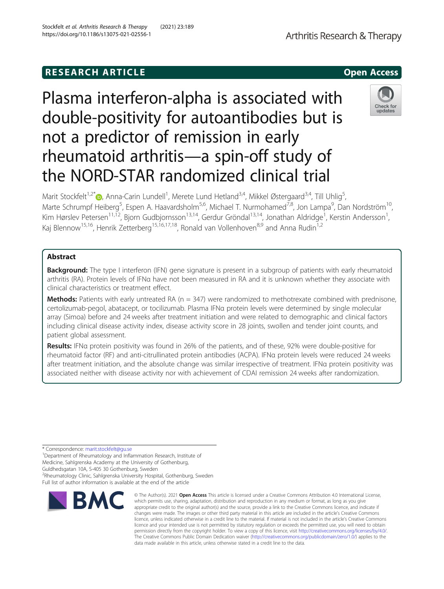# **RESEARCH ARTICLE Example 2014 12:30 The SEAR CH ACCESS**

# Plasma interferon-alpha is associated with double-positivity for autoantibodies but is not a predictor of remission in early rheumatoid arthritis—a spin-off study of the NORD-STAR randomized clinical trial

Marit Stockfelt<sup>1,2[\\*](http://orcid.org/0000-0002-4438-4849)</sup> (), Anna-Carin Lundell<sup>1</sup>, Merete Lund Hetland<sup>3,4</sup>, Mikkel Østergaard<sup>3,4</sup>, Till Uhlig<sup>5</sup> , Marte Schrumpf Heiberg<sup>5</sup>, Espen A. Haavardsholm<sup>5,6</sup>, Michael T. Nurmohamed<sup>7,8</sup>, Jon Lampa<sup>9</sup>, Dan Nordström<sup>10</sup>, Kim Hørslev Petersen<sup>11,12</sup>, Bjorn Gudbjornsson<sup>13,14</sup>, Gerdur Gröndal<sup>13,14</sup>, Jonathan Aldridge<sup>1</sup>, Kerstin Andersson<sup>1</sup> , Kaj Blennow<sup>15,16</sup>, Henrik Zetterberg<sup>15,16,17,18</sup>, Ronald van Vollenhoven<sup>8,9</sup> and Anna Rudin<sup>1,2</sup>

# Abstract

**Background:** The type I interferon (IFN) gene signature is present in a subgroup of patients with early rheumatoid arthritis (RA). Protein levels of IFNα have not been measured in RA and it is unknown whether they associate with clinical characteristics or treatment effect.

**Methods:** Patients with early untreated RA ( $n = 347$ ) were randomized to methotrexate combined with prednisone, certolizumab-pegol, abatacept, or tocilizumab. Plasma IFNα protein levels were determined by single molecular array (Simoa) before and 24 weeks after treatment initiation and were related to demographic and clinical factors including clinical disease activity index, disease activity score in 28 joints, swollen and tender joint counts, and patient global assessment.

Results: IFNa protein positivity was found in 26% of the patients, and of these, 92% were double-positive for rheumatoid factor (RF) and anti-citrullinated protein antibodies (ACPA). IFNα protein levels were reduced 24 weeks after treatment initiation, and the absolute change was similar irrespective of treatment. IFNα protein positivity was associated neither with disease activity nor with achievement of CDAI remission 24 weeks after randomization.

\* Correspondence: [marit.stockfelt@gu.se](mailto:marit.stockfelt@gu.se) <sup>1</sup>

<sup>1</sup>Department of Rheumatology and Inflammation Research, Institute of Medicine, Sahlgrenska Academy at the University of Gothenburg,

Guldhedsgatan 10A, S-405 30 Gothenburg, Sweden

2 Rheumatology Clinic, Sahlgrenska University Hospital, Gothenburg, Sweden Full list of author information is available at the end of the article







Arthritis Research & Therapy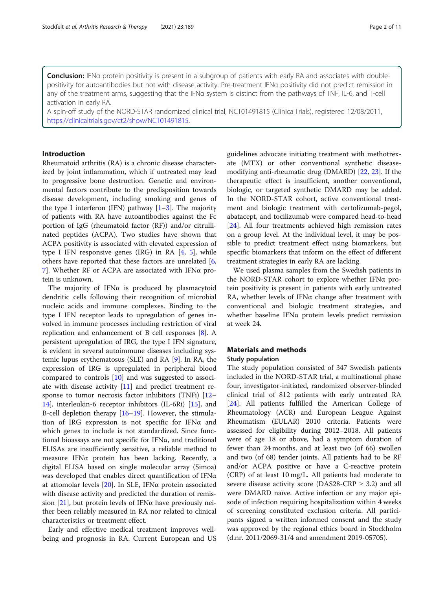Conclusion: IFNa protein positivity is present in a subgroup of patients with early RA and associates with doublepositivity for autoantibodies but not with disease activity. Pre-treatment IFNα positivity did not predict remission in any of the treatment arms, suggesting that the IFNα system is distinct from the pathways of TNF, IL-6, and T-cell activation in early RA.

A spin-off study of the NORD-STAR randomized clinical trial, NCT01491815 (ClinicalTrials), registered 12/08/2011, <https://clinicaltrials.gov/ct2/show/NCT01491815>.

# Introduction

Rheumatoid arthritis (RA) is a chronic disease characterized by joint inflammation, which if untreated may lead to progressive bone destruction. Genetic and environmental factors contribute to the predisposition towards disease development, including smoking and genes of the type I interferon (IFN) pathway  $[1-3]$  $[1-3]$  $[1-3]$  $[1-3]$ . The majority of patients with RA have autoantibodies against the Fc portion of IgG (rheumatoid factor (RF)) and/or citrullinated peptides (ACPA). Two studies have shown that ACPA positivity is associated with elevated expression of type I IFN responsive genes (IRG) in RA  $[4, 5]$  $[4, 5]$  $[4, 5]$ , while others have reported that these factors are unrelated [\[6](#page-9-0), [7\]](#page-9-0). Whether RF or ACPA are associated with IFN $\alpha$  protein is unknown.

The majority of IFN $\alpha$  is produced by plasmacytoid dendritic cells following their recognition of microbial nucleic acids and immune complexes. Binding to the type I IFN receptor leads to upregulation of genes involved in immune processes including restriction of viral replication and enhancement of B cell responses [\[8](#page-9-0)]. A persistent upregulation of IRG, the type I IFN signature, is evident in several autoimmune diseases including systemic lupus erythematosus (SLE) and RA [[9\]](#page-9-0). In RA, the expression of IRG is upregulated in peripheral blood compared to controls [\[10](#page-9-0)] and was suggested to associate with disease activity [[11\]](#page-9-0) and predict treatment response to tumor necrosis factor inhibitors (TNFi) [[12](#page-9-0)– [14\]](#page-9-0), interleukin-6 receptor inhibitors (IL-6Ri) [[15\]](#page-9-0), and B-cell depletion therapy [\[16](#page-9-0)–[19\]](#page-10-0). However, the stimulation of IRG expression is not specific for IFNα and which genes to include is not standardized. Since functional bioassays are not specific for IFNα, and traditional ELISAs are insufficiently sensitive, a reliable method to measure IFNα protein has been lacking. Recently, a digital ELISA based on single molecular array (Simoa) was developed that enables direct quantification of  $IFN\alpha$ at attomolar levels  $[20]$  $[20]$  $[20]$ . In SLE, IFN $\alpha$  protein associated with disease activity and predicted the duration of remis-sion [[21\]](#page-10-0), but protein levels of IFN $\alpha$  have previously neither been reliably measured in RA nor related to clinical characteristics or treatment effect.

Early and effective medical treatment improves wellbeing and prognosis in RA. Current European and US

guidelines advocate initiating treatment with methotrexate (MTX) or other conventional synthetic diseasemodifying anti-rheumatic drug (DMARD) [\[22](#page-10-0), [23](#page-10-0)]. If the therapeutic effect is insufficient, another conventional, biologic, or targeted synthetic DMARD may be added. In the NORD-STAR cohort, active conventional treatment and biologic treatment with certolizumab-pegol, abatacept, and tocilizumab were compared head-to-head [[24\]](#page-10-0). All four treatments achieved high remission rates on a group level. At the individual level, it may be possible to predict treatment effect using biomarkers, but specific biomarkers that inform on the effect of different treatment strategies in early RA are lacking.

We used plasma samples from the Swedish patients in the NORD-STAR cohort to explore whether IFNα protein positivity is present in patients with early untreated RA, whether levels of IFNα change after treatment with conventional and biologic treatment strategies, and whether baseline IFNα protein levels predict remission at week 24.

# Materials and methods Study population

The study population consisted of 347 Swedish patients included in the NORD-STAR trial, a multinational phase four, investigator-initiated, randomized observer-blinded clinical trial of 812 patients with early untreated RA [[24\]](#page-10-0). All patients fulfilled the American College of Rheumatology (ACR) and European League Against Rheumatism (EULAR) 2010 criteria. Patients were assessed for eligibility during 2012–2018. All patients were of age 18 or above, had a symptom duration of fewer than 24 months, and at least two (of 66) swollen and two (of 68) tender joints. All patients had to be RF and/or ACPA positive or have a C-reactive protein (CRP) of at least 10 mg/L. All patients had moderate to severe disease activity score (DAS28-CRP ≥ 3.2) and all were DMARD naïve. Active infection or any major episode of infection requiring hospitalization within 4 weeks of screening constituted exclusion criteria. All participants signed a written informed consent and the study was approved by the regional ethics board in Stockholm (d.nr. 2011/2069-31/4 and amendment 2019-05705).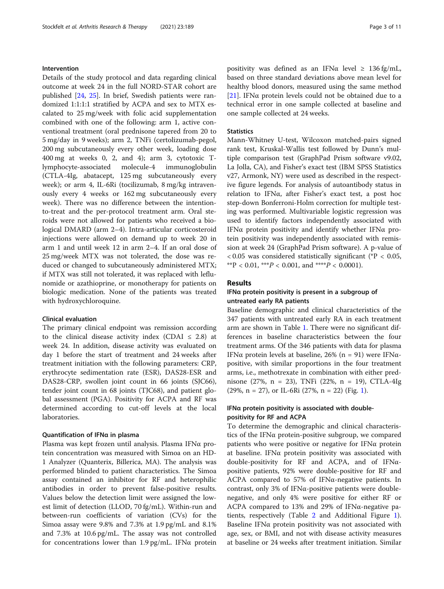# Intervention

Details of the study protocol and data regarding clinical outcome at week 24 in the full NORD-STAR cohort are published [\[24](#page-10-0), [25](#page-10-0)]. In brief, Swedish patients were randomized 1:1:1:1 stratified by ACPA and sex to MTX escalated to 25 mg/week with folic acid supplementation combined with one of the following: arm 1, active conventional treatment (oral prednisone tapered from 20 to 5 mg/day in 9 weeks); arm 2, TNFi (certolizumab-pegol, 200 mg subcutaneously every other week, loading dose 400 mg at weeks 0, 2, and 4); arm 3, cytotoxic Tlymphocyte-associated molecule-4 immunoglobulin (CTLA-4Ig, abatacept, 125 mg subcutaneously every week); or arm 4, IL-6Ri (tocilizumab, 8 mg/kg intravenously every 4 weeks or 162 mg subcutaneously every week). There was no difference between the intentionto-treat and the per-protocol treatment arm. Oral steroids were not allowed for patients who received a biological DMARD (arm 2–4). Intra-articular corticosteroid injections were allowed on demand up to week 20 in arm 1 and until week 12 in arm 2–4. If an oral dose of 25 mg/week MTX was not tolerated, the dose was reduced or changed to subcutaneously administered MTX; if MTX was still not tolerated, it was replaced with leflunomide or azathioprine, or monotherapy for patients on biologic medication. None of the patients was treated with hydroxychloroquine.

# Clinical evaluation

The primary clinical endpoint was remission according to the clinical disease activity index (CDAI  $\leq$  2.8) at week 24. In addition, disease activity was evaluated on day 1 before the start of treatment and 24 weeks after treatment initiation with the following parameters: CRP, erythrocyte sedimentation rate (ESR), DAS28-ESR and DAS28-CRP, swollen joint count in 66 joints (SJC66), tender joint count in 68 joints (TJC68), and patient global assessment (PGA). Positivity for ACPA and RF was determined according to cut-off levels at the local laboratories.

#### Quantification of IFNα in plasma

Plasma was kept frozen until analysis. Plasma IFNα protein concentration was measured with Simoa on an HD-1 Analyzer (Quanterix, Billerica, MA). The analysis was performed blinded to patient characteristics. The Simoa assay contained an inhibitor for RF and heterophilic antibodies in order to prevent false-positive results. Values below the detection limit were assigned the lowest limit of detection (LLOD, 70 fg/mL). Within-run and between-run coefficients of variation (CVs) for the Simoa assay were 9.8% and 7.3% at 1.9 pg/mL and 8.1% and 7.3% at 10.6 pg/mL. The assay was not controlled for concentrations lower than  $1.9 \text{ pg/mL}$ . IFN $\alpha$  protein positivity was defined as an IFN $\alpha$  level  $\geq 136$  fg/mL, based on three standard deviations above mean level for healthy blood donors, measured using the same method [[21\]](#page-10-0). IFN $\alpha$  protein levels could not be obtained due to a technical error in one sample collected at baseline and one sample collected at 24 weeks.

# **Statistics**

Mann-Whitney U-test, Wilcoxon matched-pairs signed rank test, Kruskal-Wallis test followed by Dunn's multiple comparison test (GraphPad Prism software v9.02, La Jolla, CA), and Fisher's exact test (IBM SPSS Statistics v27, Armonk, NY) were used as described in the respective figure legends. For analysis of autoantibody status in relation to IFNα, after Fisher's exact test, a post hoc step-down Bonferroni-Holm correction for multiple testing was performed. Multivariable logistic regression was used to identify factors independently associated with IFNα protein positivity and identify whether IFNα protein positivity was independently associated with remission at week 24 (GraphPad Prism software). A p-value of  $< 0.05$  was considered statistically significant (\*P  $< 0.05$ , \*\*P < 0.01, \*\*\*P < 0.001, and \*\*\*\*P < 0.0001).

#### Results

# IFNα protein positivity is present in a subgroup of untreated early RA patients

Baseline demographic and clinical characteristics of the 347 patients with untreated early RA in each treatment arm are shown in Table [1](#page-3-0). There were no significant differences in baseline characteristics between the four treatment arms. Of the 346 patients with data for plasma IFNα protein levels at baseline, 26% (n = 91) were IFNαpositive, with similar proportions in the four treatment arms, i.e., methotrexate in combination with either prednisone (27%, n = 23), TNFi (22%, n = 19), CTLA-4Ig  $(29\%, n = 27)$ , or IL-6Ri  $(27\%, n = 22)$  (Fig. [1\)](#page-3-0).

# IFNα protein positivity is associated with doublepositivity for RF and ACPA

To determine the demographic and clinical characteristics of the IFNα protein-positive subgroup, we compared patients who were positive or negative for IFNα protein at baseline. IFN $\alpha$  protein positivity was associated with double-positivity for RF and ACPA, and of IFNαpositive patients, 92% were double-positive for RF and ACPA compared to 57% of IFNα-negative patients. In contrast, only 3% of IFN $\alpha$ -positive patients were doublenegative, and only 4% were positive for either RF or ACPA compared to 13% and 29% of IFNα-negative patients, respectively (Table [2](#page-4-0) and Additional Figure [1](#page-8-0)). Baseline IFNα protein positivity was not associated with age, sex, or BMI, and not with disease activity measures at baseline or 24 weeks after treatment initiation. Similar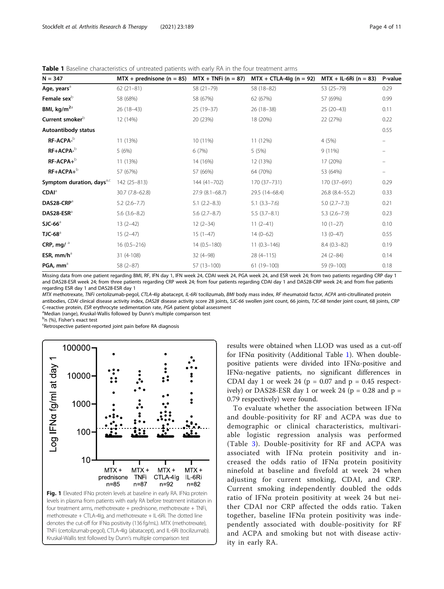<span id="page-3-0"></span>Table 1 Baseline characteristics of untreated patients with early RA in the four treatment arms

| $N = 347$                             | $MTX + prednisone (n = 85)$ | $MTX + TNFi (n = 87)$ | $MTX + CTLA-4lg (n = 92)$ | $MTX + IL-6Ri (n = 83)$ | P-value |
|---------------------------------------|-----------------------------|-----------------------|---------------------------|-------------------------|---------|
| Age, years <sup>a</sup>               | $62(21-81)$                 | 58 (21-79)            | 58 (18-82)                | 53 (25-79)              | 0.29    |
| Female sex <sup>b</sup>               | 58 (68%)                    | 58 (67%)              | 62 (67%)                  | 57 (69%)                | 0.99    |
| BMI, kg/m <sup>2a</sup>               | $26(18-43)$                 | $25(19-37)$           | $26(18-38)$               | $25(20-43)$             | 0.11    |
| Current smoker <sup>b</sup>           | 12 (14%)                    | 20 (23%)              | 18 (20%)                  | 22 (27%)                | 0.22    |
| Autoantibody status                   |                             |                       |                           |                         | 0.55    |
| RF-ACPA-b                             | 11 (13%)                    | 10 (11%)              | 11 (12%)                  | 4 (5%)                  |         |
| RF+ACPA-b                             | 5(6%)                       | 6(7%)                 | 5(5%)                     | $9(11\%)$               |         |
| $RF-ACPA+^b$                          | 11 (13%)                    | 14 (16%)              | 12 (13%)                  | 17 (20%)                |         |
| $RF+ACPA+^b$                          | 57 (67%)                    | 57 (66%)              | 64 (70%)                  | 53 (64%)                | $-$     |
| Symptom duration, days <sup>a,c</sup> | 142 (25-813)                | 144 (41-702)          | 170 (37-731)              | 170 (37-691)            | 0.29    |
| <b>CDAI</b> <sup>a</sup>              | 30.7 (7.8-62.8)             | $27.9(8.1 - 68.7)$    | 29.5 (14-68.4)            | 26.8 (8.4–55.2)         | 0.33    |
| DAS28-CRP <sup>a</sup>                | $5.2$ (2.6-7.7)             | $5.1(2.2 - 8.3)$      | $5.1(3.3 - 7.6)$          | $5.0(2.7 - 7.3)$        | 0.21    |
| DAS28-ESR <sup>a</sup>                | $5.6(3.6-8.2)$              | $5.6$ $(2.7-8.7)$     | $5.5(3.7-8.1)$            | $5.3(2.6 - 7.9)$        | 0.23    |
| $SJC-66^a$                            | $13(2-42)$                  | $12(2-34)$            | $11(2-41)$                | $10(1-27)$              | 0.10    |
| $T$ JC-68 $a$                         | $15(2-47)$                  | $15(1-47)$            | $14(0-62)$                | $13(0-47)$              | 0.55    |
| CRP, mg/ $^a$                         | $16(0.5 - 216)$             | $14(0.5 - 180)$       | $11(0.3 - 146)$           | $8.4(0.3-82)$           | 0.19    |
| ESR, $mm/h^a$                         | 31 (4-108)                  | $32(4-98)$            | $28(4-115)$               | $24(2-84)$              | 0.14    |
| PGA, mm <sup>a</sup>                  | $58(2-87)$                  | $57(13 - 100)$        | 61 (19-100)               | 59 (9-100)              | 0.18    |
|                                       |                             |                       |                           |                         |         |

Missing data from one patient regarding BMI, RF, IFN day 1, IFN week 24, CDAI week 24, PGA week 24, and ESR week 24; from two patients regarding CRP day 1 and DAS28-ESR week 24; from three patients regarding CRP week 24; from four patients regarding CDAI day 1 and DAS28-CRP week 24; and from five patients regarding ESR day 1 and DAS28-ESR day 1

MTX methotrexate, TNFi certolizumab-pegol, CTLA-4Ig abatacept, IL-6Ri tocilizumab, BMI body mass index, RF rheumatoid factor, ACPA anti-citrullinated protein antibodies, CDAI clinical disease activity index, DAS28 disease activity score 28 joints, SJC-66 swollen joint count, 66 joints, TJC-68 tender joint count, 68 joints, CRP C-reactive protein, ESR erythrocyte sedimentation rate, PGA patient global assessment

<sup>a</sup>Median (range), Kruskal-Wallis followed by Dunn's multiple comparison test

 $<sup>b</sup>n$  (%). Fisher's exact test</sup>

Retrospective patient-reported joint pain before RA diagnosis



results were obtained when LLOD was used as a cut-off for IFN $\alpha$  positivity (Additional Table [1\)](#page-8-0). When doublepositive patients were divided into IFNα-positive and IFNα-negative patients, no significant differences in CDAI day 1 or week 24 ( $p = 0.07$  and  $p = 0.45$  respectively) or DAS28-ESR day 1 or week 24 ( $p = 0.28$  and  $p =$ 0.79 respectively) were found.

To evaluate whether the association between  $IFN\alpha$ and double-positivity for RF and ACPA was due to demographic or clinical characteristics, multivariable logistic regression analysis was performed (Table [3](#page-4-0)). Double-positivity for RF and ACPA was associated with IFNα protein positivity and increased the odds ratio of IFNα protein positivity ninefold at baseline and fivefold at week 24 when adjusting for current smoking, CDAI, and CRP. Current smoking independently doubled the odds ratio of IFNα protein positivity at week 24 but neither CDAI nor CRP affected the odds ratio. Taken together, baseline IFNα protein positivity was independently associated with double-positivity for RF and ACPA and smoking but not with disease activity in early RA.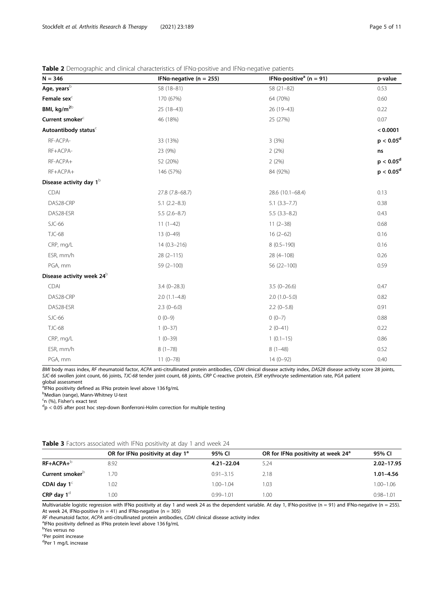# <span id="page-4-0"></span>Table 2 Demographic and clinical characteristics of IFNα-positive and IFNα-negative patients

| $N = 346$                             | IFNa-negative ( $n = 255$ ) | IFNa-positive <sup>a</sup> (n = 91) | p-value      |
|---------------------------------------|-----------------------------|-------------------------------------|--------------|
| Age, years $^{\rm b}$                 | 58 (18-81)                  | $58(21-82)$                         | 0.53         |
| Female sex <sup>c</sup>               | 170 (67%)                   | 64 (70%)                            | 0.60         |
| BMI, kg/m <sup>2b</sup>               | $25(18-43)$                 | $26(19-43)$                         | 0.22         |
| Current smoker <sup>c</sup>           | 46 (18%)                    | 25 (27%)                            | 0.07         |
| Autoantibody status <sup>c</sup>      |                             |                                     | < 0.0001     |
| RF-ACPA-                              | 33 (13%)                    | 3(3%)                               | $p < 0.05^d$ |
| RF+ACPA-                              | 23 (9%)                     | 2(2%)                               | ns           |
| RF-ACPA+                              | 52 (20%)                    | 2(2%)                               | $p < 0.05^d$ |
| RF+ACPA+                              | 146 (57%)                   | 84 (92%)                            | $p < 0.05^d$ |
| Disease activity day 1 <sup>b</sup>   |                             |                                     |              |
| CDAI                                  | 27.8 (7.8-68.7)             | 28.6 (10.1-68.4)                    | 0.13         |
| DAS28-CRP                             | $5.1$ $(2.2-8.3)$           | $5.1(3.3 - 7.7)$                    | 0.38         |
| DAS28-ESR                             | $5.5(2.6-8.7)$              | $5.5(3.3-8.2)$                      | 0.43         |
| $SJC-66$                              | $11(1-42)$                  | $11(2-38)$                          | 0.68         |
| <b>TJC-68</b>                         | $13(0-49)$                  | $16(2-62)$                          | 0.16         |
| CRP, mg/L                             | $14(0.3 - 216)$             | $8(0.5 - 190)$                      | 0.16         |
| ESR, mm/h                             | $28(2 - 115)$               | $28(4 - 108)$                       | 0.26         |
| PGA, mm                               | $59(2 - 100)$               | 56 (22-100)                         | 0.59         |
| Disease activity week 24 <sup>b</sup> |                             |                                     |              |
| CDAI                                  | $3.4(0-28.3)$               | $3.5(0-26.6)$                       | 0.47         |
| DAS28-CRP                             | $2.0(1.1-4.8)$              | $2.0(1.0-5.0)$                      | 0.82         |
| DAS28-ESR                             | $2.3(0-6.0)$                | $2.2(0-5.8)$                        | 0.91         |
| $SJC-66$                              | $0(0-9)$                    | $0(0-7)$                            | 0.88         |
| <b>TJC-68</b>                         | $1(0-37)$                   | $2(0-41)$                           | 0.22         |
| CRP, mg/L                             | $1(0-39)$                   | $1(0.1-15)$                         | 0.86         |
| ESR, mm/h                             | $8(1-78)$                   | $8(1-48)$                           | 0.52         |
| PGA, mm                               | $11(0-78)$                  | $14(0-92)$                          | 0.40         |

BMI body mass index, RF rheumatoid factor, ACPA anti-citrullinated protein antibodies, CDAI clinical disease activity index, DAS28 disease activity score 28 joints, SJC-66 swollen joint count, 66 joints, TJC-68 tender joint count, 68 joints, CRP C-reactive protein, ESR erythrocyte sedimentation rate, PGA patient global assessment

a<br><sup>a</sup>IFNα positivity defined as IFNα protein level above 136 fg/mL<br>bMedian (range), Mann-Whitney Ll-test

Median (range), Mann-Whitney U-test

<sup>c</sup>n (%), Fisher's exact test<br><sup>d</sup>n < 0.05 after post boc

 $p < 0.05$  after post hoc step-down Bonferroni-Holm correction for multiple testing

# Table 3 Factors associated with IFNa positivity at day 1 and week 24

| OR for IFNa positivity at day $1^a$ | 95% CI        | OR for IFNa positivity at week 24 <sup>a</sup> | 95% CI        |  |
|-------------------------------------|---------------|------------------------------------------------|---------------|--|
| 8.92                                | 4.21-22.04    | 5.24                                           | 2.02-17.95    |  |
| 1.70                                | $0.91 - 3.15$ | 2.18                                           | $1.01 - 4.56$ |  |
| 1.02                                | $1.00 - 1.04$ | l .03                                          | 1.00-1.06     |  |
| 1.00                                | $0.99 - 1.01$ | 0.00                                           | $0.98 - 1.01$ |  |
|                                     |               |                                                |               |  |

Multivariable logistic regression with IFNa positivity at day 1 and week 24 as the dependent variable. At day 1, IFNα-positive (n = 91) and IFNα-negative (n = 255). At week 24, IFN $\alpha$ -positive (n = 41) and IFN $\alpha$ -negative (n = 305)

RF rheumatoid factor, ACPA anti-citrullinated protein antibodies, CDAI clinical disease activity index

<sup>a</sup>IFNα positivity defined as IFNα protein level above 136 fg/mL

Yes versus no

<sup>c</sup>Per point increase

<sup>d</sup>Per 1 mg/L increase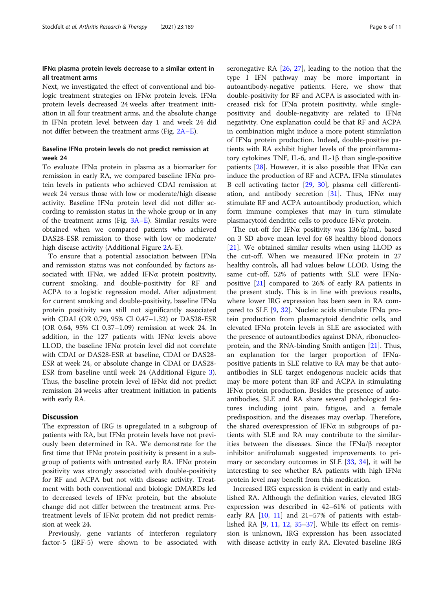# IFNα plasma protein levels decrease to a similar extent in all treatment arms

Next, we investigated the effect of conventional and biologic treatment strategies on IFNα protein levels. IFNα protein levels decreased 24 weeks after treatment initiation in all four treatment arms, and the absolute change in IFNα protein level between day 1 and week 24 did not differ between the treatment arms (Fig. [2A](#page-6-0)–E).

# Baseline IFNα protein levels do not predict remission at week 24

To evaluate IFNα protein in plasma as a biomarker for remission in early RA, we compared baseline IFNα protein levels in patients who achieved CDAI remission at week 24 versus those with low or moderate/high disease activity. Baseline IFNα protein level did not differ according to remission status in the whole group or in any of the treatment arms (Fig. [3A](#page-7-0)–E). Similar results were obtained when we compared patients who achieved DAS28-ESR remission to those with low or moderate/ high disease activity (Additional Figure [2A](#page-8-0)-E).

To ensure that a potential association between  $IFN\alpha$ and remission status was not confounded by factors associated with IFN $\alpha$ , we added IFN $\alpha$  protein positivity, current smoking, and double-positivity for RF and ACPA to a logistic regression model. After adjustment for current smoking and double-positivity, baseline  $IFN\alpha$ protein positivity was still not significantly associated with CDAI (OR 0.79, 95% CI 0.47–1.32) or DAS28-ESR (OR 0.64, 95% CI 0.37–1.09) remission at week 24. In addition, in the 127 patients with IFN $\alpha$  levels above LLOD, the baseline IFN $\alpha$  protein level did not correlate with CDAI or DAS28-ESR at baseline, CDAI or DAS28- ESR at week 24, or absolute change in CDAI or DAS28- ESR from baseline until week 24 (Additional Figure [3](#page-8-0)). Thus, the baseline protein level of IFNα did not predict remission 24 weeks after treatment initiation in patients with early RA.

# **Discussion**

The expression of IRG is upregulated in a subgroup of patients with RA, but IFNα protein levels have not previously been determined in RA. We demonstrate for the first time that IFN $\alpha$  protein positivity is present in a subgroup of patients with untreated early RA. IFNα protein positivity was strongly associated with double-positivity for RF and ACPA but not with disease activity. Treatment with both conventional and biologic DMARDs led to decreased levels of IFNα protein, but the absolute change did not differ between the treatment arms. Pretreatment levels of IFNα protein did not predict remission at week 24.

Previously, gene variants of interferon regulatory factor-5 (IRF-5) were shown to be associated with seronegative RA [[26,](#page-10-0) [27\]](#page-10-0), leading to the notion that the type I IFN pathway may be more important in autoantibody-negative patients. Here, we show that double-positivity for RF and ACPA is associated with increased risk for IFNα protein positivity, while singlepositivity and double-negativity are related to IFNα negativity. One explanation could be that RF and ACPA in combination might induce a more potent stimulation of IFNα protein production. Indeed, double-positive patients with RA exhibit higher levels of the proinflammatory cytokines TNF, IL-6, and IL-1β than single-positive patients [[28](#page-10-0)]. However, it is also possible that IFN $\alpha$  can induce the production of  $RF$  and  $ACPA$ . IFN $\alpha$  stimulates B cell activating factor [\[29](#page-10-0), [30\]](#page-10-0), plasma cell differenti-ation, and antibody secretion [\[31](#page-10-0)]. Thus, IFN $\alpha$  may stimulate RF and ACPA autoantibody production, which form immune complexes that may in turn stimulate plasmacytoid dendritic cells to produce IFNα protein.

The cut-off for IFNα positivity was 136 fg/mL, based on 3 SD above mean level for 68 healthy blood donors [[21\]](#page-10-0). We obtained similar results when using LLOD as the cut-off. When we measured IFNα protein in 27 healthy controls, all had values below LLOD. Using the same cut-off, 52% of patients with SLE were IFNαpositive [[21](#page-10-0)] compared to 26% of early RA patients in the present study. This is in line with previous results, where lower IRG expression has been seen in RA compared to SLE [\[9](#page-9-0), [32\]](#page-10-0). Nucleic acids stimulate IFNα protein production from plasmacytoid dendritic cells, and elevated IFNα protein levels in SLE are associated with the presence of autoantibodies against DNA, ribonucleoprotein, and the RNA-binding Smith antigen [[21\]](#page-10-0). Thus, an explanation for the larger proportion of IFNαpositive patients in SLE relative to RA may be that autoantibodies in SLE target endogenous nucleic acids that may be more potent than RF and ACPA in stimulating IFNα protein production. Besides the presence of autoantibodies, SLE and RA share several pathological features including joint pain, fatigue, and a female predisposition, and the diseases may overlap. Therefore, the shared overexpression of IFN $\alpha$  in subgroups of patients with SLE and RA may contribute to the similarities between the diseases. Since the IFN $\alpha/\beta$  receptor inhibitor anifrolumab suggested improvements to primary or secondary outcomes in SLE [[33](#page-10-0), [34](#page-10-0)], it will be interesting to see whether RA patients with high IFN $\alpha$ protein level may benefit from this medication.

Increased IRG expression is evident in early and established RA. Although the definition varies, elevated IRG expression was described in 42–61% of patients with early RA  $[10, 11]$  $[10, 11]$  $[10, 11]$  $[10, 11]$  and 21–57% of patients with established RA [[9](#page-9-0), [11](#page-9-0), [12](#page-9-0), [35](#page-10-0)–[37\]](#page-10-0). While its effect on remission is unknown, IRG expression has been associated with disease activity in early RA. Elevated baseline IRG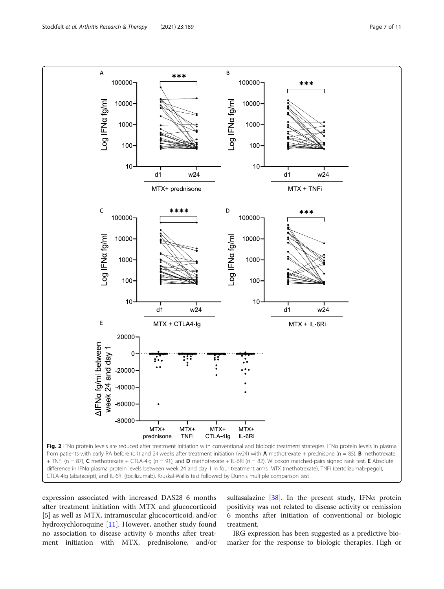<span id="page-6-0"></span>

CTLA-4Ig (abatacept), and IL-6Ri (tocilizumab). Kruskal-Wallis test followed by Dunn's multiple comparison test

expression associated with increased DAS28 6 months after treatment initiation with MTX and glucocorticoid [[5\]](#page-9-0) as well as MTX, intramuscular glucocorticoid, and/or hydroxychloroquine [\[11](#page-9-0)]. However, another study found no association to disease activity 6 months after treatment initiation with MTX, prednisolone, and/or

sulfasalazine [\[38\]](#page-10-0). In the present study, IFN $\alpha$  protein positivity was not related to disease activity or remission 6 months after initiation of conventional or biologic treatment.

IRG expression has been suggested as a predictive biomarker for the response to biologic therapies. High or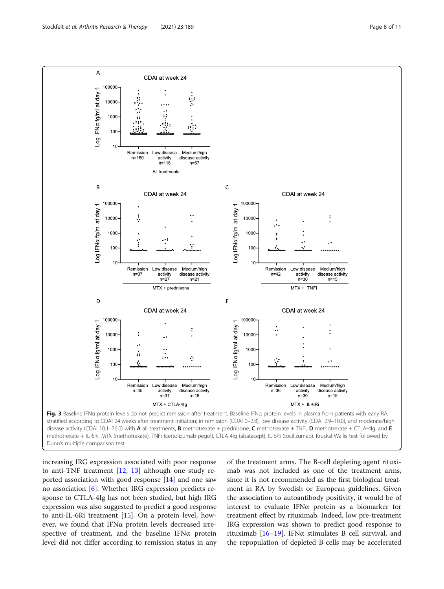<span id="page-7-0"></span>

Dunn's multiple comparison test

increasing IRG expression associated with poor response to anti-TNF treatment [\[12](#page-9-0), [13\]](#page-9-0) although one study reported association with good response [\[14](#page-9-0)] and one saw no association [\[6](#page-9-0)]. Whether IRG expression predicts response to CTLA-4Ig has not been studied, but high IRG expression was also suggested to predict a good response to anti-IL-6Ri treatment [[15\]](#page-9-0). On a protein level, however, we found that IFNα protein levels decreased irrespective of treatment, and the baseline IFN $\alpha$  protein level did not differ according to remission status in any

of the treatment arms. The B-cell depleting agent rituximab was not included as one of the treatment arms, since it is not recommended as the first biological treatment in RA by Swedish or European guidelines. Given the association to autoantibody positivity, it would be of interest to evaluate IFNα protein as a biomarker for treatment effect by rituximab. Indeed, low pre-treatment IRG expression was shown to predict good response to rituximab [[16](#page-9-0)–[19](#page-10-0)]. IFNα stimulates B cell survival, and the repopulation of depleted B-cells may be accelerated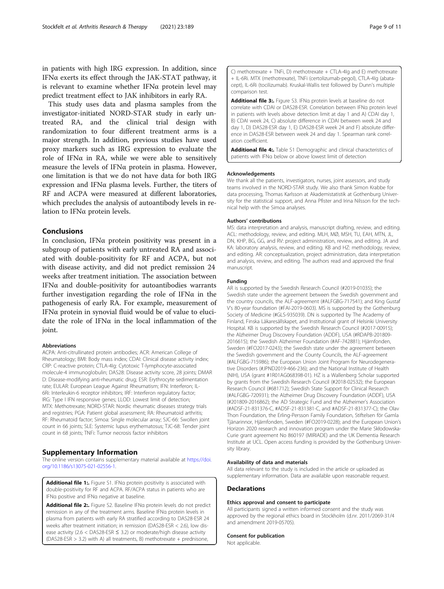<span id="page-8-0"></span>in patients with high IRG expression. In addition, since IFN $\alpha$  exerts its effect through the JAK-STAT pathway, it is relevant to examine whether IFNα protein level may predict treatment effect to JAK inhibitors in early RA.

This study uses data and plasma samples from the investigator-initiated NORD-STAR study in early untreated RA, and the clinical trial design with randomization to four different treatment arms is a major strength. In addition, previous studies have used proxy markers such as IRG expression to evaluate the role of IFN $\alpha$  in RA, while we were able to sensitively measure the levels of IFNα protein in plasma. However, one limitation is that we do not have data for both IRG expression and IFN $\alpha$  plasma levels. Further, the titers of RF and ACPA were measured at different laboratories, which precludes the analysis of autoantibody levels in relation to IFNα protein levels.

## Conclusions

In conclusion, IFNα protein positivity was present in a subgroup of patients with early untreated RA and associated with double-positivity for RF and ACPA, but not with disease activity, and did not predict remission 24 weeks after treatment initiation. The association between IFNα and double-positivity for autoantibodies warrants further investigation regarding the role of IFN $\alpha$  in the pathogenesis of early RA. For example, measurement of IFNα protein in synovial fluid would be of value to elucidate the role of IFNα in the local inflammation of the joint.

#### Abbreviations

ACPA: Anti-citrullinated protein antibodies; ACR: American College of Rheumatology; BMI: Body mass index; CDAI: Clinical disease activity index; CRP: C-reactive protein; CTLA-4Ig: Cytotoxic T-lymphocyte-associated molecule-4 immunoglobulin; DAS28: Disease activity score, 28 joints; DMAR D: Disease-modifying anti-rheumatic drug; ESR: Erythrocyte sedimentation rate; EULAR: European League Against Rheumatism; IFN: Interferon; IL-6Ri: Interleukin-6 receptor inhibitors; IRF: Interferon regulatory factor; IRG: Type I IFN responsive genes; LLOD: Lowest limit of detection; MTX: Methotrexate; NORD-STAR: Nordic rheumatic diseases strategy trials and registries; PGA: Patient global assessment; RA: Rheumatoid arthritis; RF: Rheumatoid factor; Simoa: Single molecular array; SJC-66: Swollen joint count in 66 joints; SLE: Systemic lupus erythematosus; TJC-68: Tender joint count in 68 joints; TNFi: Tumor necrosis factor inhibitors

#### Supplementary Information

The online version contains supplementary material available at [https://doi.](https://doi.org/10.1186/s13075-021-02556-1) [org/10.1186/s13075-021-02556-1.](https://doi.org/10.1186/s13075-021-02556-1)

Additional file 1:. Figure S1. IFNa protein positivity is associated with double-positivity for RF and ACPA. RF/ACPA status in patients who are IFNα positive and IFNα negative at baseline.

Additional file 2:. Figure S2. Baseline IFNa protein levels do not predict remission in any of the treatment arms. Baseline IFNα protein levels in plasma from patients with early RA stratified according to DAS28-ESR 24 weeks after treatment initiation; in remission (DAS28-ESR < 2.6), low disease activity (2.6 < DAS28-ESR ≤ 3.2) or moderate/high disease activity (DAS28-ESR > 3.2) with A) all treatments, B) methotrexate + prednisone,

C) methotrexate + TNFi, D) methotrexate + CTLA-4Ig and E) methotrexate + IL-6Ri. MTX (methotrexate), TNFi (certolizumab-pegol), CTLA-4Ig (abatacept), IL-6Ri (tocilizumab). Kruskal-Wallis test followed by Dunn's multiple comparison test.

Additional file 3:. Figure S3. IFNa protein levels at baseline do not correlate with CDAI or DAS28-ESR. Correlation between IFNα protein level in patients with levels above detection limit at day 1 and A) CDAI day 1, B) CDAI week 24, C) absolute difference in CDAI between week 24 and day 1, D) DAS28-ESR day 1, E) DAS28-ESR week 24 and F) absolute difference in DAS28-ESR between week 24 and day 1. Spearman rank correlation coefficient.

Additional file 4: Table S1 Demographic and clinical characteristics of patients with IFNα below or above lowest limit of detection

#### Acknowledgements

We thank all the patients, investigators, nurses, joint assessors, and study teams involved in the NORD-STAR study. We also thank Simon Krabbe for data processing, Thomas Karlsson at Akademistatistik at Gothenburg University for the statistical support, and Anna Pfister and Irina Nilsson for the technical help with the Simoa analyses.

#### Authors' contributions

MS: data interpretation and analysis, manuscript drafting, review, and editing. ACL: methodology, review, and editing. MLH, MØ, MSH, TU, EAH, MTN, JL, DN, KHP, BG, GG, and RV: project administration, review, and editing. JA and KA: laboratory analysis, review, and editing. KB and HZ: methodology, review, and editing. AR: conceptualization, project administration, data interpretation and analysis, review, and editing. The authors read and approved the final manuscript.

#### Funding

AR is supported by the Swedish Research Council (#2019-01035); the Swedish state under the agreement between the Swedish government and the country councils, the ALF-agreement (#ALFGBG-717541); and King Gustaf V's 80-year foundation (#FAI-2019-0603). MS is supported by the Gothenburg Society of Medicine (#GLS-935039). DN is supported by The Academy of Finland, Finska Läkaresällskapet, and Institutional grant of Helsinki University Hospital. KB is supported by the Swedish Research Council (#2017-00915); the Alzheimer Drug Discovery Foundation (ADDF), USA (#RDAPB-201809- 2016615); the Swedish Alzheimer Foundation (#AF-742881); Hjärnfonden, Sweden (#FO2017-0243); the Swedish state under the agreement between the Swedish government and the County Councils, the ALF-agreement (#ALFGBG-715986); the European Union Joint Program for Neurodegenerative Disorders (#JPND2019-466-236); and the National Institute of Health (NIH), USA (grant #1R01AG068398-01). HZ is a Wallenberg Scholar supported by grants from the Swedish Research Council (#2018-02532); the European Research Council (#681712); Swedish State Support for Clinical Research (#ALFGBG-720931); the Alzheimer Drug Discovery Foundation (ADDF), USA (#201809-2016862); the AD Strategic Fund and the Alzheimer's Association (#ADSF-21-831376-C, #ADSF-21-831381-C, and #ADSF-21-831377-C); the Olav Thon Foundation, the Erling-Persson Family Foundation, Stiftelsen för Gamla Tjänarinnor, Hjärnfonden, Sweden (#FO2019-0228); and the European Union's Horizon 2020 research and innovation program under the Marie Skłodowska-Curie grant agreement No 860197 (MIRIADE) and the UK Dementia Research Institute at UCL. Open access funding is provided by the Gothenburg University library.

#### Availability of data and materials

All data relevant to the study is included in the article or uploaded as supplementary information. Data are available upon reasonable request.

#### **Declarations**

#### Ethics approval and consent to participate

All participants signed a written informed consent and the study was approved by the regional ethics board in Stockholm (d.nr. 2011/2069-31/4 and amendment 2019-05705).

#### Consent for publication

Not applicable.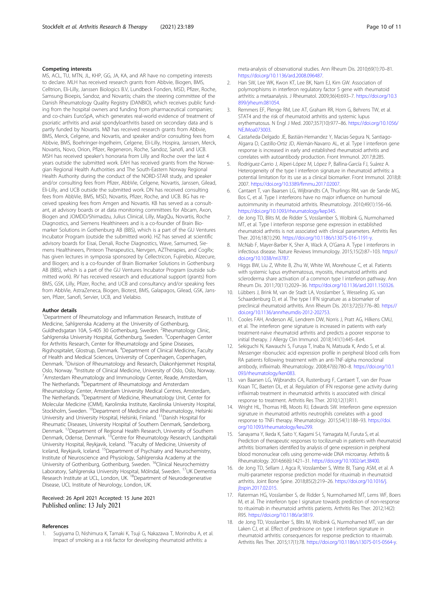#### <span id="page-9-0"></span>Competing interests

MS, ACL, TU, MTN, JL, KHP, GG, JA, KA, and AR have no competing interests to declare. MLH has received research grants from Abbvie, Biogen, BMS, Celltrion, Eli-Lilly, Janssen Biologics B.V, Lundbeck Fonden, MSD, Pfizer, Roche, Samsung Bioepis, Sandoz, and Novartis; chairs the steering committee of the Danish Rheumatology Quality Registry (DANBIO), which receives public funding from the hospital owners and funding from pharmaceutical companies; and co-chairs EuroSpA, which generates real-world evidence of treatment of psoriatic arthritis and axial spondyloarthritis based on secondary data and is partly funded by Novartis. MØ has received research grants from Abbvie, BMS, Merck, Celgene, and Novartis, and speaker and/or consulting fees from Abbvie, BMS, Boehringer-Ingelheim, Celgene, Eli-Lilly, Hospira, Janssen, Merck, Novartis, Novo, Orion, Pfizer, Regeneron, Roche, Sandoz, Sanofi, and UCB. MSH has received speaker's honoraria from Lilly and Roche over the last 4 years outside the submitted work. EAH has received grants from the Norwegian Regional Health Authorities and The South-Eastern Norway Regional Health Authority during the conduct of the NORD-STAR study, and speaker and/or consulting fees from Pfizer, AbbVie, Celgene, Novartis, Janssen, Gilead, Eli-Lilly, and UCB outside the submitted work. DN has received consulting fees from AbbVie, BMS, MSD, Novartis, Pfizer, Roche, and UCB. BG has received speaking fees from Amgen and Novartis. KB has served as a consultant, at advisory boards or at data monitoring committees for Abcam, Axon, Biogen and JOMDD/Shimadzu, Julius Clinical, Lilly, MagQu, Novartis, Roche Diagnostics, and Siemens Healthineers and is a co-founder of Brain Biomarker Solutions in Gothenburg AB (BBS), which is a part of the GU Ventures Incubator Program (outside the submitted work). HZ has served at scientific advisory boards for Eisai, Denali, Roche Diagnostics, Wave, Samumed, Siemens Healthineers, Pinteon Therapeutics, Nervgen, AZTherapies, and CogRx; has given lectures in symposia sponsored by Cellectricon, Fujirebio, Alzecure, and Biogen; and is a co-founder of Brain Biomarker Solutions in Gothenburg AB (BBS), which is a part of the GU Ventures Incubator Program (outside submitted work). RV has received research and educational support (grants) from BMS, GSK, Lilly, Pfizer, Roche, and UCB and consultancy and/or speaking fees from AbbVie, AstraZeneca, Biogen, Biotest, BMS, Galapagos, Gilead, GSK, Janssen, Pfizer, Sanofi, Servier, UCB, and Vielabio.

#### Author details

<sup>1</sup>Department of Rheumatology and Inflammation Research, Institute of Medicine, Sahlgrenska Academy at the University of Gothenburg, Guldhedsgatan 10A, S-405 30 Gothenburg, Sweden. <sup>2</sup>Rheumatology Clinic, Sahlgrenska University Hospital, Gothenburg, Sweden. <sup>3</sup>Copenhagen Center for Arthritis Research, Center for Rheumatology and Spine Diseases, Rigshospitalet, Glostrup, Denmark. <sup>4</sup> Department of Clinical Medicine, Faculty of Health and Medical Sciences, University of Copenhagen, Copenhagen, Denmark. <sup>5</sup>Division of Rheumatology and Research, Diakonhjemmet Hospital, Oslo, Norway. <sup>6</sup>Institute of Clinical Medicine, University of Oslo, Oslo, Norway.<br><sup>7</sup>Ameterdam Phoumatology and Immunology Conter, Boade, Ameterdam <sup>7</sup> Amsterdam Rheumatology and Immunology Center, Reade, Amsterdam, The Netherlands. <sup>8</sup>Department of Rheumatology and Amsterdam Rheumatology Center, Amsterdam University Medical Centres, Amsterdam, The Netherlands. <sup>9</sup>Department of Medicine, Rheumatology Unit, Center for Molecular Medicine (CMM), Karolinska Institute, Karolinska University Hospital, Stockholm, Sweden. <sup>10</sup>Department of Medicine and Rheumatology, Helsinki University and University Hospital, Helsinki, Finland. <sup>11</sup>Danish Hospital for Rheumatic Diseases, University Hospital of Southern Denmark, Sønderborg, Denmark. 12Department of Regional Health Research, University of Southern Denmark, Odense, Denmark.<sup>13</sup>Centre for Rheumatology Research, Landspitali University Hospital, Reykjavik, Iceland. 14Faculty of Medicine, University of Iceland, Reykjavik, Iceland. <sup>15</sup>Department of Psychiatry and Neurochemistry, Institute of Neuroscience and Physiology, Sahlgrenska Academy at the University of Gothenburg, Gothenburg, Sweden. <sup>16</sup>Clinical Neurochemistry Laboratory, Sahlgrenska University Hospital, Mölndal, Sweden. <sup>17</sup>UK Dementia Research Institute at UCL, London, UK. <sup>18</sup>Department of Neurodegenerative Disease, UCL Institute of Neurology, London, UK.

#### Received: 26 April 2021 Accepted: 15 June 2021 Published online: 13 July 2021

#### References

1. Sugiyama D, Nishimura K, Tamaki K, Tsuji G, Nakazawa T, Morinobu A, et al. Impact of smoking as a risk factor for developing rheumatoid arthritis: a

meta-analysis of observational studies. Ann Rheum Dis. 2010;69(1):70–81. [https://doi.org/10.1136/ard.2008.096487.](https://doi.org/10.1136/ard.2008.096487)

- 2. Han SW, Lee WK, Kwon KT, Lee BK, Nam EJ, Kim GW. Association of polymorphisms in interferon regulatory factor 5 gene with rheumatoid arthritis: a metaanalysis. J Rheumatol. 2009;36(4):693–7. [https://doi.org/10.3](https://doi.org/10.3899/jrheum.081054) [899/jrheum.081054](https://doi.org/10.3899/jrheum.081054).
- 3. Remmers EF, Plenge RM, Lee AT, Graham RR, Hom G, Behrens TW, et al. STAT4 and the risk of rheumatoid arthritis and systemic lupus erythematosus. N Engl J Med. 2007;357(10):977–86. [https://doi.org/10.1056/](https://doi.org/10.1056/NEJMoa073003) [NEJMoa073003.](https://doi.org/10.1056/NEJMoa073003)
- 4. Castañeda-Delgado JE, Bastián-Hernandez Y, Macias-Segura N, Santiago-Algarra D, Castillo-Ortiz JD, Alemán-Navarro AL, et al. Type I interferon gene response is increased in early and established rheumatoid arthritis and correlates with autoantibody production. Front Immunol. 2017;8:285.
- 5. Rodríguez-Carrio J, Alperi-López M, López P, Ballina-García FJ, Suárez A. Heterogeneity of the type I interferon signature in rheumatoid arthritis: a potential limitation for its use as a clinical biomarker. Front Immunol. 2018;8: 2007. [https://doi.org/10.3389/fimmu.2017.02007.](https://doi.org/10.3389/fimmu.2017.02007)
- 6. Cantaert T, van Baarsen LG, Wijbrandts CA, Thurlings RM, van de Sande MG, Bos C, et al. Type I interferons have no major influence on humoral autoimmunity in rheumatoid arthritis. Rheumatology. 2010;49(1):156–66. [https://doi.org/10.1093/rheumatology/kep345.](https://doi.org/10.1093/rheumatology/kep345)
- 7. de Jong TD, Blits M, de Ridder S, Vosslamber S, Wolbink G, Nurmohamed MT, et al. Type I interferon response gene expression in established rheumatoid arthritis is not associated with clinical parameters. Arthritis Res Ther. 2016;18(1):290. <https://doi.org/10.1186/s13075-016-1191-y>.
- 8. McNab F, Mayer-Barber K, Sher A, Wack A, O'Garra A. Type I interferons in infectious disease. Nature Reviews Immunology. 2015;15(2):87–103. [https://](https://doi.org/10.1038/nri3787) [doi.org/10.1038/nri3787](https://doi.org/10.1038/nri3787).
- 9. Higgs BW, Liu Z, White B, Zhu W, White WI, Morehouse C, et al. Patients with systemic lupus erythematosus, myositis, rheumatoid arthritis and scleroderma share activation of a common type I interferon pathway. Ann Rheum Dis. 2011;70(11):2029–36. [https://doi.org/10.1136/ard.2011.150326.](https://doi.org/10.1136/ard.2011.150326)
- 10. Lübbers J, Brink M, van de Stadt LA, Vosslamber S, Wesseling JG, van Schaardenburg D, et al. The type I IFN signature as a biomarker of preclinical rheumatoid arthritis. Ann Rheum Dis. 2013;72(5):776–80. [https://](https://doi.org/10.1136/annrheumdis-2012-202753) [doi.org/10.1136/annrheumdis-2012-202753](https://doi.org/10.1136/annrheumdis-2012-202753).
- 11. Cooles FAH, Anderson AE, Lendrem DW, Norris J, Pratt AG, Hilkens CMU, et al. The interferon gene signature is increased in patients with early treatment-naive rheumatoid arthritis and predicts a poorer response to initial therapy. J Allergy Clin Immunol. 2018;141(1):445–8.e4.
- 12. Sekiguchi N, Kawauchi S, Furuya T, Inaba N, Matsuda K, Ando S, et al. Messenger ribonucleic acid expression profile in peripheral blood cells from RA patients following treatment with an anti-TNF-alpha monoclonal antibody, infliximab. Rheumatology. 2008;47(6):780–8. [https://doi.org/10.1](https://doi.org/10.1093/rheumatology/ken083) [093/rheumatology/ken083](https://doi.org/10.1093/rheumatology/ken083).
- 13. van Baarsen LG, Wijbrandts CA, Rustenburg F, Cantaert T, van der Pouw Kraan TC, Baeten DL, et al. Regulation of IFN response gene activity during infliximab treatment in rheumatoid arthritis is associated with clinical response to treatment. Arthritis Res Ther. 2010;12(1):R11.
- 14. Wright HL, Thomas HB, Moots RJ, Edwards SW. Interferon gene expression signature in rheumatoid arthritis neutrophils correlates with a good response to TNFi therapy. Rheumatology. 2015;54(1):188–93. [https://doi.](https://doi.org/10.1093/rheumatology/keu299) [org/10.1093/rheumatology/keu299.](https://doi.org/10.1093/rheumatology/keu299)
- 15. Sanayama Y, Ikeda K, Saito Y, Kagami S-I, Yamagata M, Furuta S, et al. Prediction of therapeutic responses to tocilizumab in patients with rheumatoid arthritis: biomarkers identified by analysis of gene expression in peripheral blood mononuclear cells using genome-wide DNA microarray. Arthritis & Rheumatology. 2014;66(6):1421–31. [https://doi.org/10.1002/art.38400.](https://doi.org/10.1002/art.38400)
- 16. de Jong TD, Sellam J, Agca R, Vosslamber S, Witte BI, Tsang ASM, et al. A multi-parameter response prediction model for rituximab in rheumatoid arthritis. Joint Bone Spine. 2018;85(2):219–26. [https://doi.org/10.1016/j.](https://doi.org/10.1016/j.jbspin.2017.02.015) [jbspin.2017.02.015](https://doi.org/10.1016/j.jbspin.2017.02.015).
- 17. Raterman HG, Vosslamber S, de Ridder S, Nurmohamed MT, Lems WF, Boers M, et al. The interferon type I signature towards prediction of non-response to rituximab in rheumatoid arthritis patients. Arthritis Res Ther. 2012;14(2): R95. [https://doi.org/10.1186/ar3819.](https://doi.org/10.1186/ar3819)
- 18. de Jong TD, Vosslamber S, Blits M, Wolbink G, Nurmohamed MT, van der Laken CJ, et al. Effect of prednisone on type I interferon signature in rheumatoid arthritis: consequences for response prediction to rituximab. Arthritis Res Ther. 2015;17(1):78. [https://doi.org/10.1186/s13075-015-0564-y.](https://doi.org/10.1186/s13075-015-0564-y)